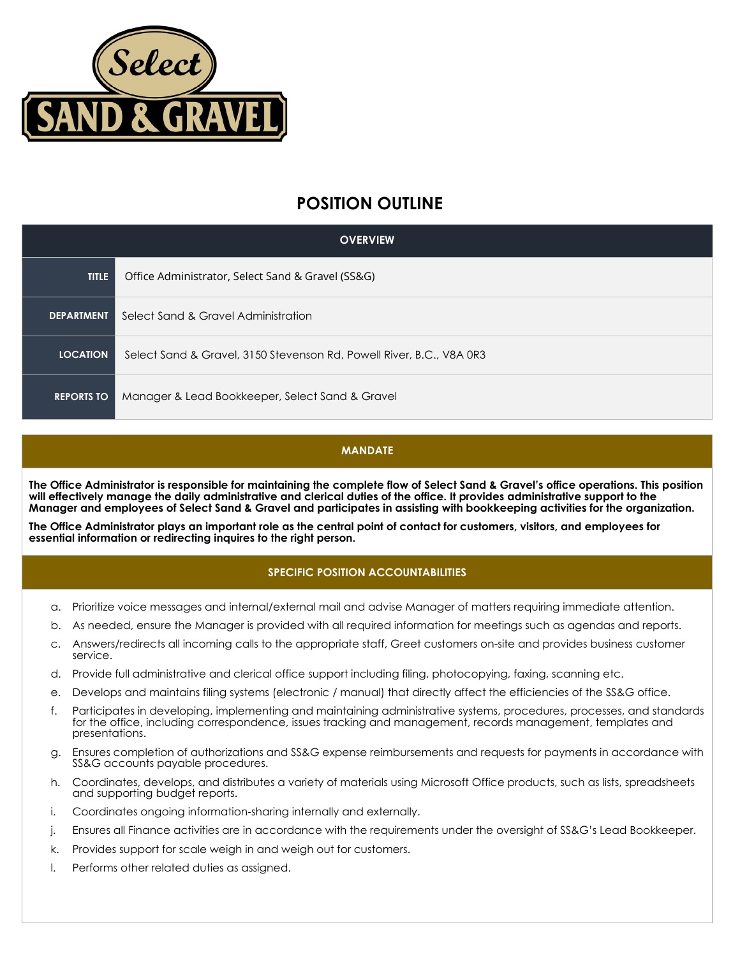

# **POSITION OUTLINE**

| <b>OVERVIEW</b>   |                                                                      |
|-------------------|----------------------------------------------------------------------|
| <b>TITLE</b>      | Office Administrator, Select Sand & Gravel (SS&G)                    |
| <b>DEPARTMENT</b> | Select Sand & Gravel Administration                                  |
| <b>LOCATION</b>   | Select Sand & Gravel, 3150 Stevenson Rd, Powell River, B.C., V8A 0R3 |
| <b>REPORTS TO</b> | Manager & Lead Bookkeeper, Select Sand & Gravel                      |

### **MANDATE**

**The Office Administrator is responsible for maintaining the complete flow of Select Sand & Gravel's office operations. This position will effectively manage the daily administrative and clerical duties of the office. It provides administrative support to the Manager and employees of Select Sand & Gravel and participates in assisting with bookkeeping activities for the organization.**

**The Office Administrator plays an important role as the central point of contact for customers, visitors, and employees for essential information or redirecting inquires to the right person.** 

## **SPECIFIC POSITION ACCOUNTABILITIES**

- a. Prioritize voice messages and internal/external mail and advise Manager of matters requiring immediate attention.
- b. As needed, ensure the Manager is provided with all required information for meetings such as agendas and reports.
- c. Answers/redirects all incoming calls to the appropriate staff, Greet customers on-site and provides business customer service.
- d. Provide full administrative and clerical office support including filing, photocopying, faxing, scanning etc.
- e. Develops and maintains filing systems (electronic / manual) that directly affect the efficiencies of the SS&G office.
- f. Participates in developing, implementing and maintaining administrative systems, procedures, processes, and standards for the office, including correspondence, issues tracking and management, records management, templates and presentations.
- g. Ensures completion of authorizations and SS&G expense reimbursements and requests for payments in accordance with SS&G accounts payable procedures.
- h. Coordinates, develops, and distributes a variety of materials using Microsoft Office products, such as lists, spreadsheets and supporting budget reports.
- i. Coordinates ongoing information-sharing internally and externally.
- j. Ensures all Finance activities are in accordance with the requirements under the oversight of SS&G's Lead Bookkeeper.
- k. Provides support for scale weigh in and weigh out for customers.
- l. Performs other related duties as assigned.